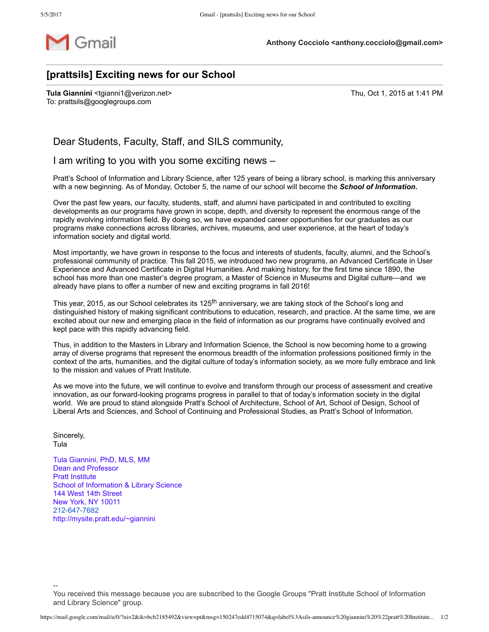

## **[prattsils] Exciting news for our School**

**Tula Giannini** <tgianni1@verizon.net> Thu, Oct 1, 2015 at 1:41 PM To: prattsils@googlegroups.com

Dear Students, Faculty, Staff, and SILS community,

I am writing to you with you some exciting news –

Pratt's School of Information and Library Science, after 125 years of being a library school, is marking this anniversary with a new beginning. As of Monday, October 5, the name of our school will become the *School of Information***.**

Over the past few years, our faculty, students, staff, and alumni have participated in and contributed to exciting developments as our programs have grown in scope, depth, and diversity to represent the enormous range of the rapidly evolving information field. By doing so, we have expanded career opportunities for our graduates as our programs make connections across libraries, archives, museums, and user experience, at the heart of today's information society and digital world.

Most importantly, we have grown in response to the focus and interests of students, faculty, alumni, and the School's professional community of practice. This fall 2015, we introduced two new programs, an Advanced Certificate in User Experience and Advanced Certificate in Digital Humanities. And making history, for the first time since 1890, the school has more than one master's degree program, a Master of Science in Museums and Digital culture—and we already have plans to offer a number of new and exciting programs in fall 2016!

This year, 2015, as our School celebrates its 125<sup>th</sup> anniversary, we are taking stock of the School's long and distinguished history of making significant contributions to education, research, and practice. At the same time, we are excited about our new and emerging place in the field of information as our programs have continually evolved and kept pace with this rapidly advancing field.

Thus, in addition to the Masters in Library and Information Science, the School is now becoming home to a growing array of diverse programs that represent the enormous breadth of the information professions positioned firmly in the context of the arts, humanities, and the digital culture of today's information society, as we more fully embrace and link to the mission and values of Pratt Institute.

As we move into the future, we will continue to evolve and transform through our process of assessment and creative innovation, as our forward-looking programs progress in parallel to that of today's information society in the digital world. We are proud to stand alongside Pratt's School of Architecture, School of Art, School of Design, School of Liberal Arts and Sciences, and School of Continuing and Professional Studies, as Pratt's School of Information.

Sincerely, Tula

 $\overline{\phantom{a}}$ 

Tula Giannini, PhD, MLS, MM Dean and Professor Pratt Institute School of Information & Library Science 144 West 14th Street New York, NY 10011 212-647-7682 http://mysite.pratt.edu/~giannini

You received this message because you are subscribed to the Google Groups "Pratt Institute School of Information and Library Science" group.